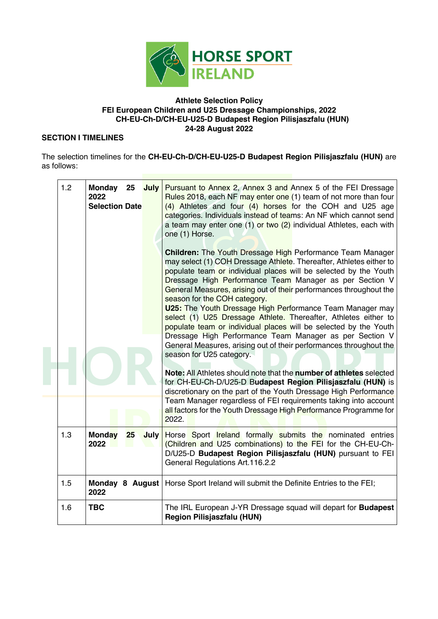

#### **Athlete Selection Policy FEI European Children and U25 Dressage Championships, 2022 CH-EU-Ch-D/CH-EU-U25-D Budapest Region Pilisjaszfalu (HUN) 24-28 August 2022**

#### **SECTION I TIMELINES**

The selection timelines for the **CH-EU-Ch-D/CH-EU-U25-D Budapest Region Pilisjaszfalu (HUN)** are as follows:

| 1.2 | 2022<br><b>Selection Date</b>       | Monday 25 July Pursuant to Annex 2, Annex 3 and Annex 5 of the FEI Dressage<br>Rules 2018, each NF may enter one (1) team of not more than four<br>(4) Athletes and four (4) horses for the COH and U25 age<br>categories. Individuals instead of teams: An NF which cannot send<br>a team may enter one (1) or two (2) individual Athletes, each with<br>one (1) Horse.<br><b>Children:</b> The Youth Dressage High Performance Team Manager<br>may select (1) COH Dressage Athlete. Thereafter, Athletes either to<br>populate team or individual places will be selected by the Youth<br>Dressage High Performance Team Manager as per Section V<br>General Measures, arising out of their performances throughout the<br>season for the COH category.<br><b>U25:</b> The Youth Dressage High Performance Team Manager may<br>select (1) U25 Dressage Athlete. Thereafter, Athletes either to<br>populate team or individual places will be selected by the Youth<br>Dressage High Performance Team Manager as per Section V<br>General Measures, arising out of their performances throughout the<br>season for U25 category.<br>Note: All Athletes should note that the number of athletes selected<br>for CH-EU-Ch-D/U25-D Budapest Region Pilisjaszfalu (HUN) is<br>discretionary on the part of the Youth Dressage High Performance<br>Team Manager regardless of FEI requirements taking into account<br>all factors for the Youth Dressage High Performance Programme for<br>2022. |
|-----|-------------------------------------|----------------------------------------------------------------------------------------------------------------------------------------------------------------------------------------------------------------------------------------------------------------------------------------------------------------------------------------------------------------------------------------------------------------------------------------------------------------------------------------------------------------------------------------------------------------------------------------------------------------------------------------------------------------------------------------------------------------------------------------------------------------------------------------------------------------------------------------------------------------------------------------------------------------------------------------------------------------------------------------------------------------------------------------------------------------------------------------------------------------------------------------------------------------------------------------------------------------------------------------------------------------------------------------------------------------------------------------------------------------------------------------------------------------------------------------------------------------------------------------------|
| 1.3 | <b>Monday</b><br>25<br>July<br>2022 | Horse Sport Ireland formally submits the nominated entries<br>(Children and U25 combinations) to the FEI for the CH-EU-Ch-<br>D/U25-D Budapest Region Pilisjaszfalu (HUN) pursuant to FEI<br>General Regulations Art.116.2.2                                                                                                                                                                                                                                                                                                                                                                                                                                                                                                                                                                                                                                                                                                                                                                                                                                                                                                                                                                                                                                                                                                                                                                                                                                                                 |
| 1.5 | 2022                                | Monday 8 August   Horse Sport Ireland will submit the Definite Entries to the FEI;                                                                                                                                                                                                                                                                                                                                                                                                                                                                                                                                                                                                                                                                                                                                                                                                                                                                                                                                                                                                                                                                                                                                                                                                                                                                                                                                                                                                           |
| 1.6 | <b>TBC</b>                          | The IRL European J-YR Dressage squad will depart for <b>Budapest</b><br><b>Region Pilisjaszfalu (HUN)</b>                                                                                                                                                                                                                                                                                                                                                                                                                                                                                                                                                                                                                                                                                                                                                                                                                                                                                                                                                                                                                                                                                                                                                                                                                                                                                                                                                                                    |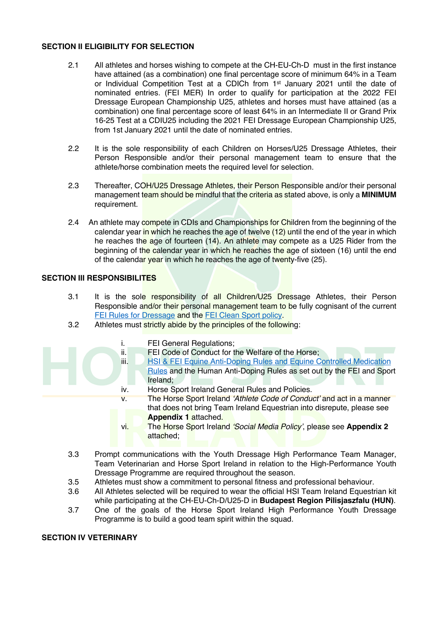#### **SECTION II ELIGIBILITY FOR SELECTION**

- 2.1 All athletes and horses wishing to compete at the CH-EU-Ch-D must in the first instance have attained (as a combination) one final percentage score of minimum 64% in a Team or Individual Competition Test at a CDICh from 1st January 2021 until the date of nominated entries. (FEI MER) In order to qualify for participation at the 2022 FEI Dressage European Championship U25, athletes and horses must have attained (as a combination) one final percentage score of least 64% in an Intermediate II or Grand Prix 16-25 Test at a CDIU25 including the 2021 FEI Dressage European Championship U25, from 1st January 2021 until the date of nominated entries.
- 2.2 It is the sole responsibility of each Children on Horses/U25 Dressage Athletes, their Person Responsible and/or their personal management team to ensure that the athlete/horse combination meets the required level for selection.
- 2.3 Thereafter, COH/U25 Dressage Athletes, their Person Responsible and/or their personal management team should be mindful that the criteria as stated above, is only a **MINIMUM** requirement.
- 2.4 An athlete may compete in CDIs and Championships for Children from the beginning of the calendar year in which he reaches the age of twelve (12) until the end of the year in which he reaches the age of fourteen (14). An athlete may compete as a U25 Rider from the beginning of the calendar year in which he reaches the age of sixteen (16) until the end of the calendar year in which he reaches the age of twenty-five (25).

#### **SECTION III RESPONSIBILITES**

- 3.1 It is the sole responsibility of all Children/U25 Dressage Athletes, their Person Responsible and/or their personal management team to be fully cognisant of the current FEI Rules for Dressage and the FEI Clean Sport policy.
- 3.2 Athletes must strictly abide by the principles of the following:



- i. FEI General Regulations;
- ii. FEI Code of Conduct for the Welfare of the Horse;
- iii. HSI & FEI Equine Anti-Doping Rules and Equine Controlled Medication
	- Rules and the Human Anti-Doping Rules as set out by the FEI and Sport Ireland;
- iv. Horse Sport Ireland General Rules and Policies.
- v. The Horse Sport Ireland *'Athlete Code of Conduct'* and act in a manner that does not bring Team Ireland Equestrian into disrepute, please see **Appendix 1** attached.
- vi. The Horse Sport Ireland *'Social Media Policy'*, please see **Appendix 2** attached;
- 3.3 Prompt communications with the Youth Dressage High Performance Team Manager, Team Veterinarian and Horse Sport Ireland in relation to the High-Performance Youth Dressage Programme are required throughout the season.
- 3.5 Athletes must show a commitment to personal fitness and professional behaviour.
- 3.6 All Athletes selected will be required to wear the official HSI Team Ireland Equestrian kit while participating at the CH-EU-Ch-D/U25-D in **Budapest Region Pilisjaszfalu (HUN)**.
- 3.7 One of the goals of the Horse Sport Ireland High Performance Youth Dressage Programme is to build a good team spirit within the squad.

#### **SECTION IV VETERINARY**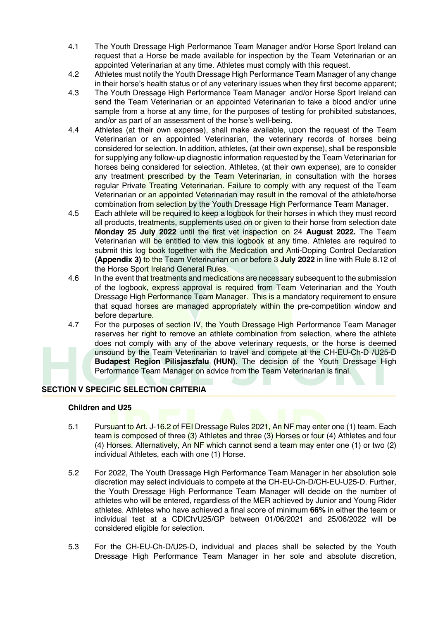- 4.1 The Youth Dressage High Performance Team Manager and/or Horse Sport Ireland can request that a Horse be made available for inspection by the Team Veterinarian or an appointed Veterinarian at any time. Athletes must comply with this request.
- 4.2 Athletes must notify the Youth Dressage High Performance Team Manager of any change in their horse's health status or of any veterinary issues when they first become apparent;
- 4.3 The Youth Dressage High Performance Team Manager and/or Horse Sport Ireland can send the Team Veterinarian or an appointed Veterinarian to take a blood and/or urine sample from a horse at any time, for the purposes of testing for prohibited substances, and/or as part of an assessment of the horse's well-being.
- 4.4 Athletes (at their own expense), shall make available, upon the request of the Team Veterinarian or an appointed Veterinarian, the veterinary records of horses being considered for selection. In addition, athletes, (at their own expense), shall be responsible for supplying any follow-up diagnostic information requested by the Team Veterinarian for horses being considered for selection. Athletes, (at their own expense), are to consider any treatment prescribed by the Team Veterinarian, in consultation with the horses regular Private Treating Veterinarian. Failure to comply with any request of the Team Veterinarian or an appointed Veterinarian may result in the removal of the athlete/horse combination from selection by the Youth Dressage High Performance Team Manager.
- 4.5 Each athlete will be required to keep a logbook for their horses in which they must record all products, treatments, supplements used on or given to their horse from selection date **Monday 25 July 2022** until the first vet inspection on 24 **August 2022.** The Team Veterinarian will be entitled to view this logbook at any time. Athletes are required to submit this log book together with the Medication and Anti-Doping Control Declaration **(Appendix 3)** to the Team Veterinarian on or before 3 **July 2022** in line with Rule 8.12 of the Horse Sport Ireland General Rules.
- 4.6 In the event that treatments and medications are necessary subsequent to the submission of the logbook, express approval is required from Team Veterinarian and the Youth Dressage High Performance Team Manager. This is a mandatory requirement to ensure that squad horses are managed appropriately within the pre-competition window and before departure.
- 4.7 For the purposes of section IV, the Youth Dressage High Performance Team Manager reserves her right to remove an athlete combination from selection, where the athlete does not comply with any of the above veterinary requests, or the horse is deemed unsound by the Team Veterinarian to travel and compete at the CH-EU-Ch-D /U25-D **Budapest Region Pilisjaszfalu (HUN)**. The decision of the Youth Dressage High Performance Team Manager on advice from the Team Veterinarian is final.

# **SECTION V SPECIFIC SELECTION CRITERIA**

#### **Children and U25**

- 5.1 Pursuant to Art. J-16.2 of FEI Dressage Rules 2021, An NF may enter one (1) team. Each team is composed of three (3) Athletes and three (3) Horses or four (4) Athletes and four (4) Horses. Alternatively, An NF which cannot send a team may enter one (1) or two (2) individual Athletes, each with one (1) Horse.
- 5.2 For 2022, The Youth Dressage High Performance Team Manager in her absolution sole discretion may select individuals to compete at the CH-EU-Ch-D/CH-EU-U25-D. Further, the Youth Dressage High Performance Team Manager will decide on the number of athletes who will be entered, regardless of the MER achieved by Junior and Young Rider athletes. Athletes who have achieved a final score of minimum **66%** in either the team or individual test at a CDICh/U25/GP between 01/06/2021 and 25/06/2022 will be considered eligible for selection.
- 5.3 For the CH-EU-Ch-D/U25-D, individual and places shall be selected by the Youth Dressage High Performance Team Manager in her sole and absolute discretion,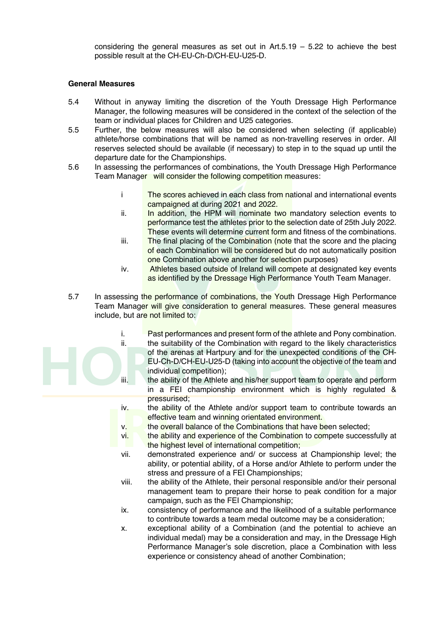considering the general measures as set out in  $Art.5.19 - 5.22$  to achieve the best possible result at the CH-EU-Ch-D/CH-EU-U25-D.

#### **General Measures**

- 5.4 Without in anyway limiting the discretion of the Youth Dressage High Performance Manager, the following measures will be considered in the context of the selection of the team or individual places for Children and U25 categories.
- 5.5 Further, the below measures will also be considered when selecting (if applicable) athlete/horse combinations that will be named as non-travelling reserves in order. All reserves selected should be available (if necessary) to step in to the squad up until the departure date for the Championships.
- 5.6 In assessing the performances of combinations, the Youth Dressage High Performance Team Manager will consider the following competition measures:
	- i The scores achieved in each class from national and international events campaigned at during 2021 and 2022.
	- ii. In addition, the HPM will nominate two mandatory selection events to performance test the athletes prior to the selection date of 25th July 2022. These events will determine current form and fitness of the combinations.
	- iii. The final placing of the Combination (note that the score and the placing of each Combination will be considered but do not automatically position one Combination above another for selection purposes)
	- iv. Athletes based outside of Ireland will compete at designated key events as identified by the Dressage High Performance Youth Team Manager.
- 5.7 In assessing the performance of combinations, the Youth Dressage High Performance Team Manager will give consideration to general measures. These general measures include, but are not limited to:
	- i. Past performances and present form of the athlete and Pony combination.
	- ii. the suitability of the Combination with regard to the likely characteristics of the arenas at Hartpury and for the unexpected conditions of the CH-EU-Ch-D/CH-EU-U25-D (taking into account the objective of the team and individual competition);
	- iii. the ability of the Athlete and his/her support team to operate and perform in a FEI championship environment which is highly regulated & pressurised;
	- iv. the ability of the Athlete and/or support team to contribute towards an effective team and winning orientated environment.
	- v. the overall balance of the Combinations that have been selected;
	- vi. **the ability and experience of the Combination to compete successfully at** the highest level of international competition;
	- vii. demonstrated experience and/ or success at Championship level; the ability, or potential ability, of a Horse and/or Athlete to perform under the stress and pressure of a FEI Championships;
	- viii. the ability of the Athlete, their personal responsible and/or their personal management team to prepare their horse to peak condition for a major campaign, such as the FEI Championship;
	- ix. consistency of performance and the likelihood of a suitable performance to contribute towards a team medal outcome may be a consideration;
	- x. exceptional ability of a Combination (and the potential to achieve an individual medal) may be a consideration and may, in the Dressage High Performance Manager's sole discretion, place a Combination with less experience or consistency ahead of another Combination;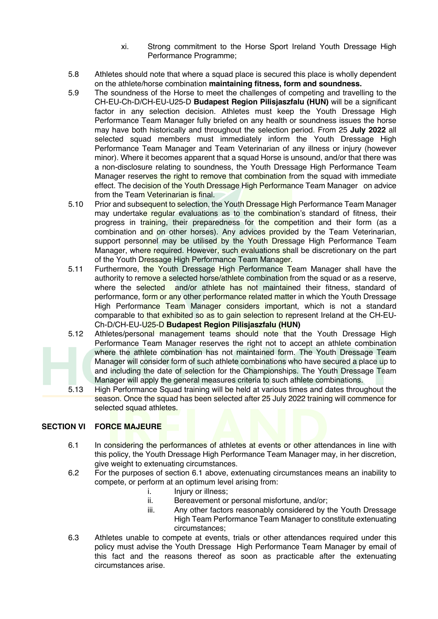- xi. Strong commitment to the Horse Sport Ireland Youth Dressage High Performance Programme;
- 5.8 Athletes should note that where a squad place is secured this place is wholly dependent on the athlete/horse combination **maintaining fitness, form and soundness.**
- 5.9 The soundness of the Horse to meet the challenges of competing and travelling to the CH-EU-Ch-D/CH-EU-U25-D **Budapest Region Pilisjaszfalu (HUN)** will be a significant factor in any selection decision. Athletes must keep the Youth Dressage High Performance Team Manager fully briefed on any health or soundness issues the horse may have both historically and throughout the selection period. From 25 **July 2022** all selected squad members must immediately inform the Youth Dressage High Performance Team Manager and Team Veterinarian of any illness or injury (however minor). Where it becomes apparent that a squad Horse is unsound, and/or that there was a non-disclosure relating to soundness, the Youth Dressage High Performance Team Manager reserves the right to remove that combination from the squad with immediate effect. The decision of the Youth Dressage High Performance Team Manager on advice from the Team Veterinarian is final.
- 5.10 Prior and subsequent to selection, the Youth Dressage High Performance Team Manager may undertake regular evaluations as to the combination's standard of fitness, their progress in training, their preparedness for the competition and their form (as a combination and on other horses). Any advices provided by the Team Veterinarian, support personnel may be utilised by the Youth Dressage High Performance Team Manager, where required. However, such evaluations shall be discretionary on the part of the Youth Dressage High Performance Team Manager.
- 5.11 Furthermore, the Youth Dressage High Performance Team Manager shall have the authority to remove a selected horse/athlete combination from the squad or as a reserve. where the selected and/or athlete has not maintained their fitness, standard of performance, form or any other performance related matter in which the Youth Dressage High Performance Team Manager considers important, which is not a standard comparable to that exhibited so as to gain selection to represent Ireland at the CH-EU-Ch-D/CH-EU-U25-D **Budapest Region Pilisjaszfalu (HUN)**
- 5.12 Athletes/personal management teams should note that the Youth Dressage High Performance Team Manager reserves the right not to accept an athlete combination where the athlete combination has not maintained form. The Youth Dressage Team Manager will consider form of such athlete combinations who have secured a place up to and including the date of selection for the Championships. The Youth Dressage Team Manager will apply the general measures criteria to such athlete combinations.
- 5.13 High Performance Squad training will be held at various times and dates throughout the season. Once the squad has been selected after 25 July 2022 training will commence for selected squad athletes.

# **SECTION VI FORCE MAJEURE**

- 6.1 In considering the performances of athletes at events or other attendances in line with this policy, the Youth Dressage High Performance Team Manager may, in her discretion, give weight to extenuating circumstances.
- 6.2 For the purposes of section 6.1 above, extenuating circumstances means an inability to compete, or perform at an optimum level arising from:
	- i. Injury or illness;
	- ii. Bereavement or personal misfortune, and/or;
	- iii. Any other factors reasonably considered by the Youth Dressage High Team Performance Team Manager to constitute extenuating circumstances;
- 6.3 Athletes unable to compete at events, trials or other attendances required under this policy must advise the Youth Dressage High Performance Team Manager by email of this fact and the reasons thereof as soon as practicable after the extenuating circumstances arise.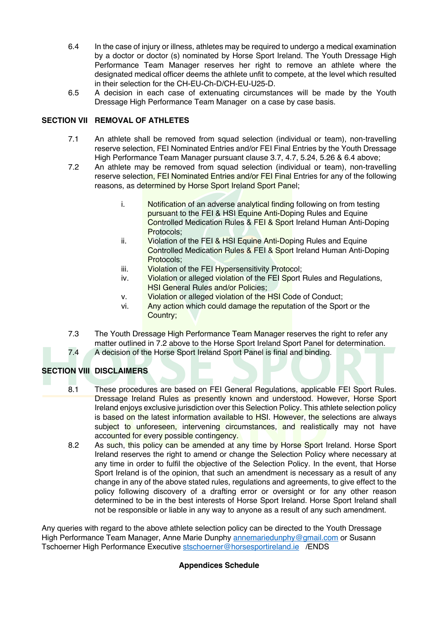- 6.4 In the case of injury or illness, athletes may be required to undergo a medical examination by a doctor or doctor (s) nominated by Horse Sport Ireland. The Youth Dressage High Performance Team Manager reserves her right to remove an athlete where the designated medical officer deems the athlete unfit to compete, at the level which resulted in their selection for the CH-EU-Ch-D/CH-EU-U25-D.
- 6.5 A decision in each case of extenuating circumstances will be made by the Youth Dressage High Performance Team Manager on a case by case basis.

# **SECTION VII REMOVAL OF ATHLETES**

- 7.1 An athlete shall be removed from squad selection (individual or team), non-travelling reserve selection, FEI Nominated Entries and/or FEI Final Entries by the Youth Dressage High Performance Team Manager pursuant clause 3.7, 4.7, 5.24, 5.26 & 6.4 above;
- 7.2 An athlete may be removed from squad selection (individual or team), non-travelling reserve selection, FEI Nominated Entries and/or FEI Final Entries for any of the following reasons, as determined by Horse Sport Ireland Sport Panel;
	- i. Notification of an adverse analytical finding following on from testing pursuant to the FEI & HSI Equine Anti-Doping Rules and Equine Controlled Medication Rules & FEI & Sport Ireland Human Anti-Doping Protocols;
	- ii. Violation of the FEI & HSI Equine Anti-Doping Rules and Equine Controlled Medication Rules & FEI & Sport Ireland Human Anti-Doping Protocols;
	- iii. Violation of the FEI Hypersensitivity Protocol;
	- iv. Violation or alleged violation of the FEI Sport Rules and Regulations, **HSI General Rules and/or Policies:**
	- v. Violation or alleged violation of the HSI Code of Conduct;
	- vi. Any action which could damage the reputation of the Sport or the Country;
- 7.3 The Youth Dressage High Performance Team Manager reserves the right to refer any matter outlined in 7.2 above to the Horse Sport Ireland Sport Panel for determination. 7.4 A decision of the Horse Sport Ireland Sport Panel is final and binding.

# **SECTION VIII DISCLAIMERS**

- 8.1 These procedures are based on FEI General Regulations, applicable FEI Sport Rules. Dressage Ireland Rules as presently known and understood. However, Horse Sport Ireland enjoys exclusive jurisdiction over this Selection Policy. This athlete selection policy is based on the latest information available to HSI. However, the selections are always subject to unforeseen, intervening circumstances, and realistically may not have accounted for every possible contingency.
- 8.2 As such, this policy can be amended at any time by Horse Sport Ireland. Horse Sport Ireland reserves the right to amend or change the Selection Policy where necessary at any time in order to fulfil the objective of the Selection Policy. In the event, that Horse Sport Ireland is of the opinion, that such an amendment is necessary as a result of any change in any of the above stated rules, regulations and agreements, to give effect to the policy following discovery of a drafting error or oversight or for any other reason determined to be in the best interests of Horse Sport Ireland. Horse Sport Ireland shall not be responsible or liable in any way to anyone as a result of any such amendment.

Any queries with regard to the above athlete selection policy can be directed to the Youth Dressage High Performance Team Manager, Anne Marie Dunphy annemariedunphy@gmail.com or Susann Tschoerner High Performance Executive stschoerner@horsesportireland.ie /ENDS

# **Appendices Schedule**